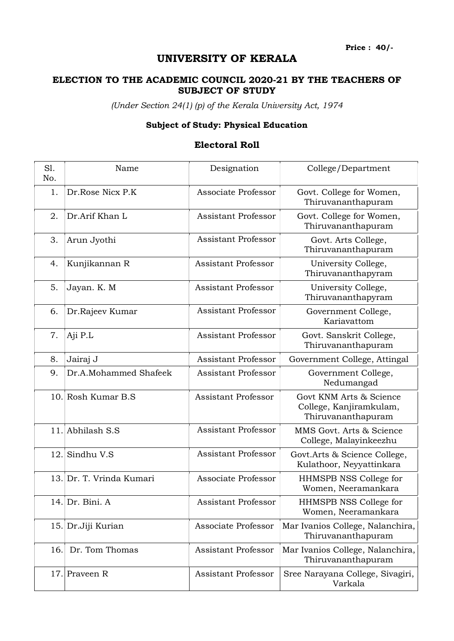Price : 40/-

# UNIVERSITY OF KERALA

#### ELECTION TO THE ACADEMIC COUNCIL 2020-21 BY THE TEACHERS OF SUBJECT OF STUDY

(Under Section 24(1) (p) of the Kerala University Act, 1974

## Subject of Study: Physical Education

### Electoral Roll

| S1.<br>No. | Name                     | Designation                | College/Department                                                       |
|------------|--------------------------|----------------------------|--------------------------------------------------------------------------|
| 1.         | Dr.Rose Nicx P.K         | Associate Professor        | Govt. College for Women,<br>Thiruvananthapuram                           |
| 2.         | Dr.Arif Khan L           | <b>Assistant Professor</b> | Govt. College for Women,<br>Thiruvananthapuram                           |
| 3.         | Arun Jyothi              | <b>Assistant Professor</b> | Govt. Arts College,<br>Thiruvananthapuram                                |
| 4.         | Kunjikannan R            | <b>Assistant Professor</b> | University College,<br>Thiruvananthapyram                                |
| 5.         | Jayan. K. M              | <b>Assistant Professor</b> | University College,<br>Thiruvananthapyram                                |
| 6.         | Dr.Rajeev Kumar          | <b>Assistant Professor</b> | Government College,<br>Kariavattom                                       |
| 7.         | Aji P.L                  | <b>Assistant Professor</b> | Govt. Sanskrit College,<br>Thiruvananthapuram                            |
| 8.         | Jairaj J                 | <b>Assistant Professor</b> | Government College, Attingal                                             |
| 9.         | Dr.A.Mohammed Shafeek    | <b>Assistant Professor</b> | Government College,<br>Nedumangad                                        |
|            | 10. Rosh Kumar B.S       | <b>Assistant Professor</b> | Govt KNM Arts & Science<br>College, Kanjiramkulam,<br>Thiruvananthapuram |
|            | 11. Abhilash S.S         | <b>Assistant Professor</b> | MMS Govt. Arts & Science<br>College, Malayinkeezhu                       |
| 12.        | Sindhu V.S               | <b>Assistant Professor</b> | Govt.Arts & Science College,<br>Kulathoor, Neyyattinkara                 |
|            | 13. Dr. T. Vrinda Kumari | Associate Professor        | HHMSPB NSS College for<br>Women, Neeramankara                            |
|            | 14. Dr. Bini. A          | <b>Assistant Professor</b> | HHMSPB NSS College for<br>Women, Neeramankara                            |
|            | 15. Dr.Jiji Kurian       | Associate Professor        | Mar Ivanios College, Nalanchira,<br>Thiruvananthapuram                   |
| 16.        | Dr. Tom Thomas           | <b>Assistant Professor</b> | Mar Ivanios College, Nalanchira,<br>Thiruvananthapuram                   |
|            | 17. Praveen R            | <b>Assistant Professor</b> | Sree Narayana College, Sivagiri,<br>Varkala                              |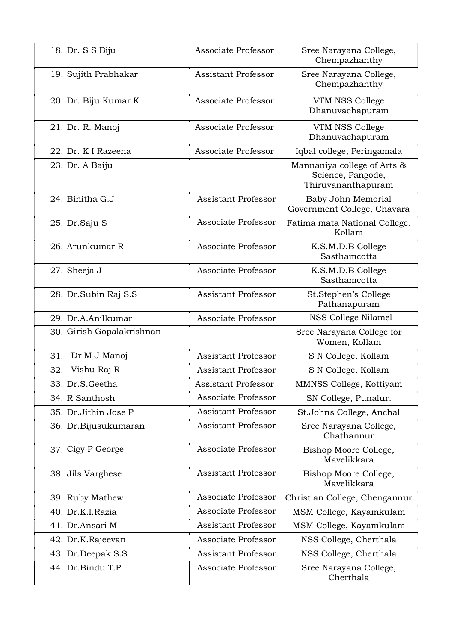|      | 18. Dr. S S Biju      | Associate Professor        | Sree Narayana College,<br>Chempazhanthy                                |
|------|-----------------------|----------------------------|------------------------------------------------------------------------|
|      | 19. Sujith Prabhakar  | <b>Assistant Professor</b> | Sree Narayana College,<br>Chempazhanthy                                |
|      | 20. Dr. Biju Kumar K  | Associate Professor        | VTM NSS College<br>Dhanuvachapuram                                     |
|      | $21$ . Dr. R. Manoj   | Associate Professor        | VTM NSS College<br>Dhanuvachapuram                                     |
| 22.1 | Dr. K I Razeena       | Associate Professor        | Iqbal college, Peringamala                                             |
|      | 23. Dr. A Baiju       |                            | Mannaniya college of Arts &<br>Science, Pangode,<br>Thiruvananthapuram |
|      | 24. Binitha G.J       | <b>Assistant Professor</b> | Baby John Memorial<br>Government College, Chavara                      |
|      | 25. Dr. Saju S        | Associate Professor        | Fatima mata National College,<br>Kollam                                |
|      | 26. Arunkumar R       | Associate Professor        | K.S.M.D.B College<br>Sasthamcotta                                      |
| 27.  | Sheeja J              | Associate Professor        | K.S.M.D.B College<br>Sasthamcotta                                      |
|      | 28. Dr. Subin Raj S.S | <b>Assistant Professor</b> | St.Stephen's College<br>Pathanapuram                                   |
|      | 29. Dr.A.Anilkumar    | Associate Professor        | NSS College Nilamel                                                    |
| 30.  | Girish Gopalakrishnan |                            | Sree Narayana College for<br>Women, Kollam                             |
| 31.  | Dr M J Manoj          | <b>Assistant Professor</b> | S N College, Kollam                                                    |
| 32.  | Vishu Raj R           | <b>Assistant Professor</b> | S N College, Kollam                                                    |
|      | 33. Dr.S.Geetha       | <b>Assistant Professor</b> | MMNSS College, Kottiyam                                                |
|      | 34. R Santhosh        | Associate Professor        | SN College, Punalur.                                                   |
|      | 35. Dr. Jithin Jose P | <b>Assistant Professor</b> | St.Johns College, Anchal                                               |
|      | 36. Dr.Bijusukumaran  | <b>Assistant Professor</b> | Sree Narayana College,<br>Chathannur                                   |
| 37.  | Cigy P George         | Associate Professor        | Bishop Moore College,<br>Mavelikkara                                   |
|      | 38. Jils Varghese     | <b>Assistant Professor</b> | Bishop Moore College,<br>Mavelikkara                                   |
|      | 39. Ruby Mathew       | Associate Professor        | Christian College, Chengannur                                          |
| 40.  | Dr.K.I.Razia          | Associate Professor        | MSM College, Kayamkulam                                                |
| 41.  | Dr.Ansari M           | <b>Assistant Professor</b> | MSM College, Kayamkulam                                                |
|      | 42. Dr.K.Rajeevan     | Associate Professor        | NSS College, Cherthala                                                 |
|      | 43. Dr.Deepak S.S     | <b>Assistant Professor</b> | NSS College, Cherthala                                                 |
|      | 44. Dr.Bindu T.P      | Associate Professor        | Sree Narayana College,<br>Cherthala                                    |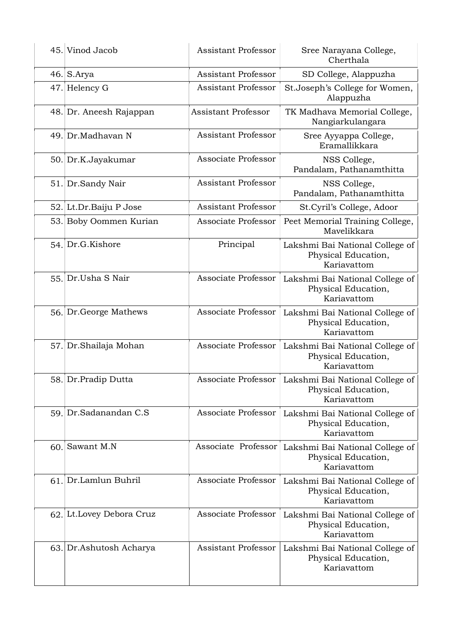|     | 45. Vinod Jacob          | <b>Assistant Professor</b> | Sree Narayana College,<br>Cherthala                                   |
|-----|--------------------------|----------------------------|-----------------------------------------------------------------------|
|     | 46. S.Arya               | <b>Assistant Professor</b> | SD College, Alappuzha                                                 |
|     | 47. Helency G            | <b>Assistant Professor</b> | St.Joseph's College for Women,<br>Alappuzha                           |
|     | 48. Dr. Aneesh Rajappan  | <b>Assistant Professor</b> | TK Madhava Memorial College,<br>Nangiarkulangara                      |
|     | 49. Dr.Madhavan N        | <b>Assistant Professor</b> | Sree Ayyappa College,<br>Eramallikkara                                |
|     | 50. Dr.K.Jayakumar       | Associate Professor        | NSS College,<br>Pandalam, Pathanamthitta                              |
|     | 51. Dr.Sandy Nair        | Assistant Professor        | NSS College,<br>Pandalam, Pathanamthitta                              |
|     | 52. Lt.Dr.Baiju P Jose   | <b>Assistant Professor</b> | St. Cyril's College, Adoor                                            |
|     | 53. Boby Oommen Kurian   | Associate Professor        | Peet Memorial Training College,<br>Mavelikkara                        |
|     | 54. Dr.G.Kishore         | Principal                  | Lakshmi Bai National College of<br>Physical Education,<br>Kariavattom |
|     | 55. Dr.Usha S Nair       | Associate Professor        | Lakshmi Bai National College of<br>Physical Education,<br>Kariavattom |
|     | 56. Dr. George Mathews   | Associate Professor        | Lakshmi Bai National College of<br>Physical Education,<br>Kariavattom |
|     | 57. Dr. Shailaja Mohan   | Associate Professor        | Lakshmi Bai National College of<br>Physical Education,<br>Kariavattom |
|     | 58. Dr. Pradip Dutta     | Associate Professor        | Lakshmi Bai National College of<br>Physical Education,<br>Kariavattom |
|     | 59. Dr.Sadanandan C.S    | Associate Professor        | Lakshmi Bai National College of<br>Physical Education,<br>Kariavattom |
| 60. | Sawant M.N               | Associate Professor        | Lakshmi Bai National College of<br>Physical Education,<br>Kariavattom |
|     | 61. Dr.Lamlun Buhril     | Associate Professor        | Lakshmi Bai National College of<br>Physical Education,<br>Kariavattom |
|     | 62. Lt.Lovey Debora Cruz | Associate Professor        | Lakshmi Bai National College of<br>Physical Education,<br>Kariavattom |
| 63. | Dr.Ashutosh Acharya      | <b>Assistant Professor</b> | Lakshmi Bai National College of<br>Physical Education,<br>Kariavattom |